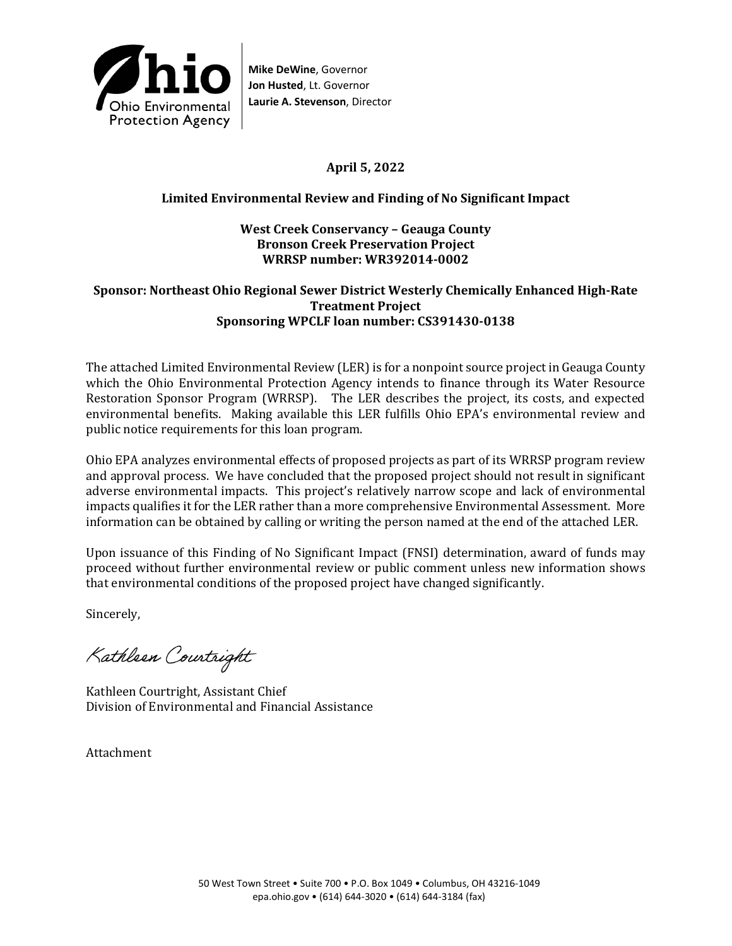

# **April 5, 2022**

## **Limited Environmental Review and Finding of No Significant Impact**

### **West Creek Conservancy – Geauga County Bronson Creek Preservation Project WRRSP number: WR392014-0002**

### **Sponsor: Northeast Ohio Regional Sewer District Westerly Chemically Enhanced High-Rate Treatment Project Sponsoring WPCLF loan number: CS391430-0138**

The attached Limited Environmental Review (LER) is for a nonpoint source project in Geauga County which the Ohio Environmental Protection Agency intends to finance through its Water Resource Restoration Sponsor Program (WRRSP). The LER describes the project, its costs, and expected environmental benefits. Making available this LER fulfills Ohio EPA's environmental review and public notice requirements for this loan program.

Ohio EPA analyzes environmental effects of proposed projects as part of its WRRSP program review and approval process. We have concluded that the proposed project should not result in significant adverse environmental impacts. This project's relatively narrow scope and lack of environmental impacts qualifies it for the LER rather than a more comprehensive Environmental Assessment. More information can be obtained by calling or writing the person named at the end of the attached LER.

Upon issuance of this Finding of No Significant Impact (FNSI) determination, award of funds may proceed without further environmental review or public comment unless new information shows that environmental conditions of the proposed project have changed significantly.

Sincerely,

Kathleen Courtright

Kathleen Courtright, Assistant Chief Division of Environmental and Financial Assistance

Attachment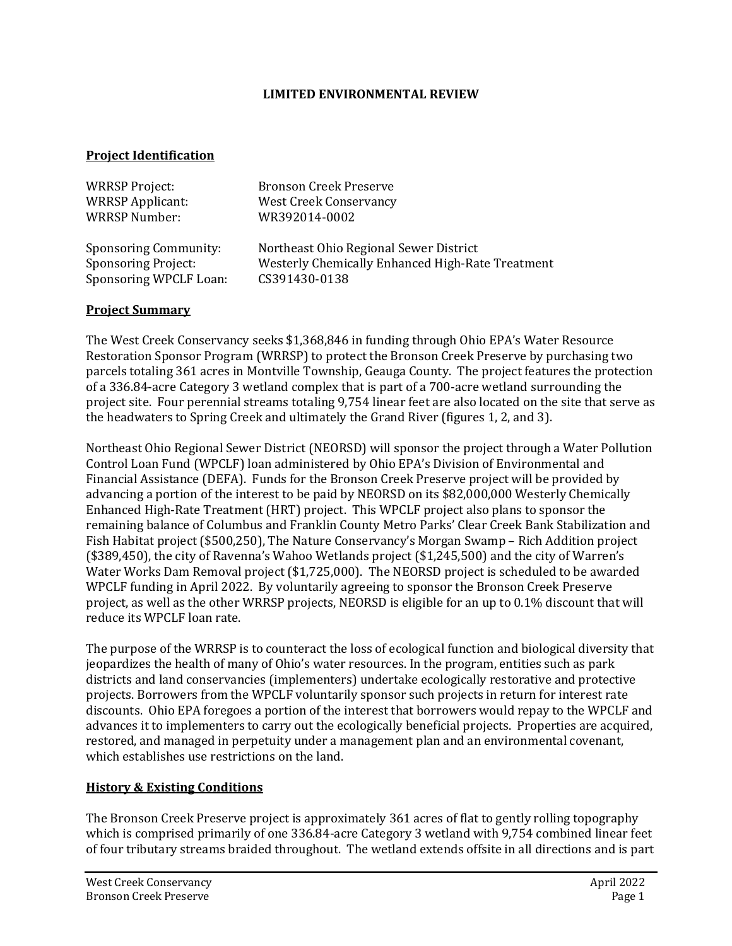### **LIMITED ENVIRONMENTAL REVIEW**

### **Project Identification**

| <b>WRRSP Project:</b>        | <b>Bronson Creek Preserve</b>                    |
|------------------------------|--------------------------------------------------|
| <b>WRRSP Applicant:</b>      | <b>West Creek Conservancy</b>                    |
| <b>WRRSP Number:</b>         | WR392014-0002                                    |
| <b>Sponsoring Community:</b> | Northeast Ohio Regional Sewer District           |
| <b>Sponsoring Project:</b>   | Westerly Chemically Enhanced High-Rate Treatment |
| Sponsoring WPCLF Loan:       | CS391430-0138                                    |

### **Project Summary**

The West Creek Conservancy seeks \$1,368,846 in funding through Ohio EPA's Water Resource Restoration Sponsor Program (WRRSP) to protect the Bronson Creek Preserve by purchasing two parcels totaling 361 acres in Montville Township, Geauga County. The project features the protection of a 336.84-acre Category 3 wetland complex that is part of a 700-acre wetland surrounding the project site. Four perennial streams totaling 9,754 linear feet are also located on the site that serve as the headwaters to Spring Creek and ultimately the Grand River (figures 1, 2, and 3).

Northeast Ohio Regional Sewer District (NEORSD) will sponsor the project through a Water Pollution Control Loan Fund (WPCLF) loan administered by Ohio EPA's Division of Environmental and Financial Assistance (DEFA). Funds for the Bronson Creek Preserve project will be provided by advancing a portion of the interest to be paid by NEORSD on its \$82,000,000 Westerly Chemically Enhanced High-Rate Treatment (HRT) project. This WPCLF project also plans to sponsor the remaining balance of Columbus and Franklin County Metro Parks' Clear Creek Bank Stabilization and Fish Habitat project (\$500,250), The Nature Conservancy's Morgan Swamp – Rich Addition project (\$389,450), the city of Ravenna's Wahoo Wetlands project (\$1,245,500) and the city of Warren's Water Works Dam Removal project (\$1,725,000). The NEORSD project is scheduled to be awarded WPCLF funding in April 2022. By voluntarily agreeing to sponsor the Bronson Creek Preserve project, as well as the other WRRSP projects, NEORSD is eligible for an up to 0.1% discount that will reduce its WPCLF loan rate.

The purpose of the WRRSP is to counteract the loss of ecological function and biological diversity that jeopardizes the health of many of Ohio's water resources. In the program, entities such as park districts and land conservancies (implementers) undertake ecologically restorative and protective projects. Borrowers from the WPCLF voluntarily sponsor such projects in return for interest rate discounts. Ohio EPA foregoes a portion of the interest that borrowers would repay to the WPCLF and advances it to implementers to carry out the ecologically beneficial projects. Properties are acquired, restored, and managed in perpetuity under a management plan and an environmental covenant, which establishes use restrictions on the land.

### **History & Existing Conditions**

The Bronson Creek Preserve project is approximately 361 acres of flat to gently rolling topography which is comprised primarily of one 336.84-acre Category 3 wetland with 9,754 combined linear feet of four tributary streams braided throughout. The wetland extends offsite in all directions and is part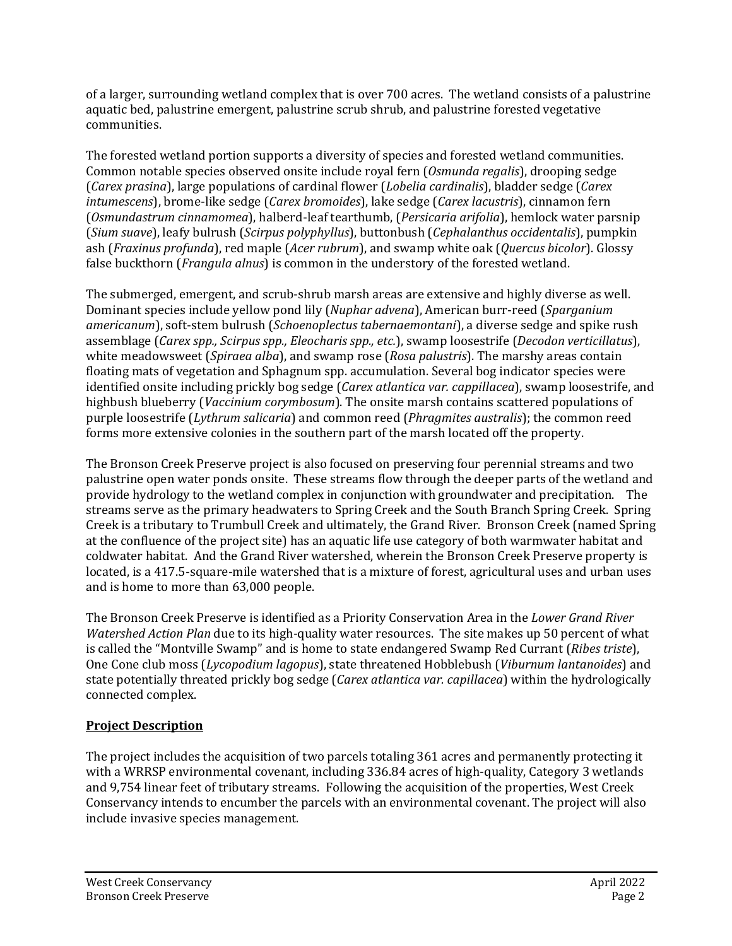of a larger, surrounding wetland complex that is over 700 acres. The wetland consists of a palustrine aquatic bed, palustrine emergent, palustrine scrub shrub, and palustrine forested vegetative communities.

The forested wetland portion supports a diversity of species and forested wetland communities. Common notable species observed onsite include royal fern (*Osmunda regalis*), drooping sedge (*Carex prasina*), large populations of cardinal flower (*Lobelia cardinalis*), bladder sedge (*Carex intumescens*), brome-like sedge (*Carex bromoides*), lake sedge (*Carex lacustris*), cinnamon fern (*Osmundastrum cinnamomea*), halberd-leaf tearthumb, (*Persicaria arifolia*), hemlock water parsnip (*Sium suave*), leafy bulrush (*Scirpus polyphyllus*), buttonbush (*Cephalanthus occidentalis*), pumpkin ash (*Fraxinus profunda*), red maple (*Acer rubrum*), and swamp white oak (*Quercus bicolor*). Glossy false buckthorn (*Frangula alnus*) is common in the understory of the forested wetland.

The submerged, emergent, and scrub-shrub marsh areas are extensive and highly diverse as well. Dominant species include yellow pond lily (*Nuphar advena*), American burr-reed (*Sparganium americanum*), soft-stem bulrush (*Schoenoplectus tabernaemontani*), a diverse sedge and spike rush assemblage (*Carex spp., Scirpus spp., Eleocharis spp., etc.*), swamp loosestrife (*Decodon verticillatus*), white meadowsweet (*Spiraea alba*), and swamp rose (*Rosa palustris*). The marshy areas contain floating mats of vegetation and Sphagnum spp. accumulation. Several bog indicator species were identified onsite including prickly bog sedge (*Carex atlantica var. cappillacea*), swamp loosestrife, and highbush blueberry (*Vaccinium corymbosum*). The onsite marsh contains scattered populations of purple loosestrife (*Lythrum salicaria*) and common reed (*Phragmites australis*); the common reed forms more extensive colonies in the southern part of the marsh located off the property.

The Bronson Creek Preserve project is also focused on preserving four perennial streams and two palustrine open water ponds onsite. These streams flow through the deeper parts of the wetland and provide hydrology to the wetland complex in conjunction with groundwater and precipitation. The streams serve as the primary headwaters to Spring Creek and the South Branch Spring Creek. Spring Creek is a tributary to Trumbull Creek and ultimately, the Grand River. Bronson Creek (named Spring at the confluence of the project site) has an aquatic life use category of both warmwater habitat and coldwater habitat. And the Grand River watershed, wherein the Bronson Creek Preserve property is located, is a 417.5-square-mile watershed that is a mixture of forest, agricultural uses and urban uses and is home to more than 63,000 people.

The Bronson Creek Preserve is identified as a Priority Conservation Area in the *Lower Grand River Watershed Action Plan* due to its high-quality water resources. The site makes up 50 percent of what is called the "Montville Swamp" and is home to state endangered Swamp Red Currant (*Ribes triste*), One Cone club moss (*Lycopodium lagopus*), state threatened Hobblebush (*Viburnum lantanoides*) and state potentially threated prickly bog sedge (*Carex atlantica var. capillacea*) within the hydrologically connected complex.

# **Project Description**

The project includes the acquisition of two parcels totaling 361 acres and permanently protecting it with a WRRSP environmental covenant, including 336.84 acres of high-quality, Category 3 wetlands and 9,754 linear feet of tributary streams. Following the acquisition of the properties, West Creek Conservancy intends to encumber the parcels with an environmental covenant. The project will also include invasive species management.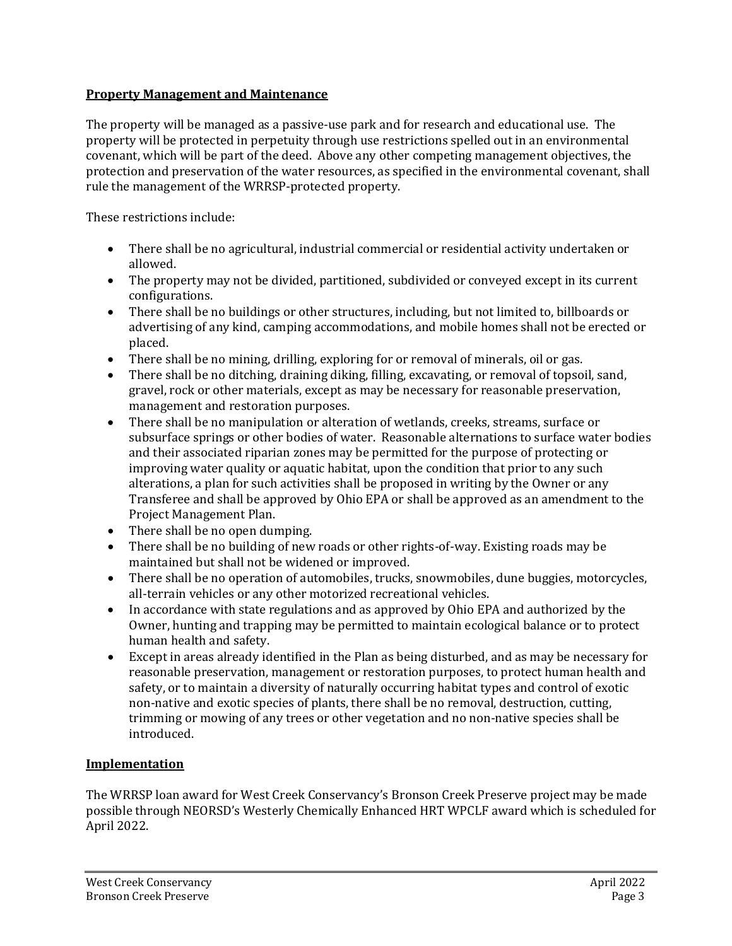### **Property Management and Maintenance**

The property will be managed as a passive-use park and for research and educational use. The property will be protected in perpetuity through use restrictions spelled out in an environmental covenant, which will be part of the deed. Above any other competing management objectives, the protection and preservation of the water resources, as specified in the environmental covenant, shall rule the management of the WRRSP-protected property.

These restrictions include:

- There shall be no agricultural, industrial commercial or residential activity undertaken or allowed.
- The property may not be divided, partitioned, subdivided or conveyed except in its current configurations.
- There shall be no buildings or other structures, including, but not limited to, billboards or advertising of any kind, camping accommodations, and mobile homes shall not be erected or placed.
- There shall be no mining, drilling, exploring for or removal of minerals, oil or gas.
- There shall be no ditching, draining diking, filling, excavating, or removal of topsoil, sand, gravel, rock or other materials, except as may be necessary for reasonable preservation, management and restoration purposes.
- There shall be no manipulation or alteration of wetlands, creeks, streams, surface or subsurface springs or other bodies of water. Reasonable alternations to surface water bodies and their associated riparian zones may be permitted for the purpose of protecting or improving water quality or aquatic habitat, upon the condition that prior to any such alterations, a plan for such activities shall be proposed in writing by the Owner or any Transferee and shall be approved by Ohio EPA or shall be approved as an amendment to the Project Management Plan.
- There shall be no open dumping.
- There shall be no building of new roads or other rights-of-way. Existing roads may be maintained but shall not be widened or improved.
- There shall be no operation of automobiles, trucks, snowmobiles, dune buggies, motorcycles, all-terrain vehicles or any other motorized recreational vehicles.
- In accordance with state regulations and as approved by Ohio EPA and authorized by the Owner, hunting and trapping may be permitted to maintain ecological balance or to protect human health and safety.
- Except in areas already identified in the Plan as being disturbed, and as may be necessary for reasonable preservation, management or restoration purposes, to protect human health and safety, or to maintain a diversity of naturally occurring habitat types and control of exotic non-native and exotic species of plants, there shall be no removal, destruction, cutting, trimming or mowing of any trees or other vegetation and no non-native species shall be introduced.

# **Implementation**

The WRRSP loan award for West Creek Conservancy's Bronson Creek Preserve project may be made possible through NEORSD's Westerly Chemically Enhanced HRT WPCLF award which is scheduled for April 2022.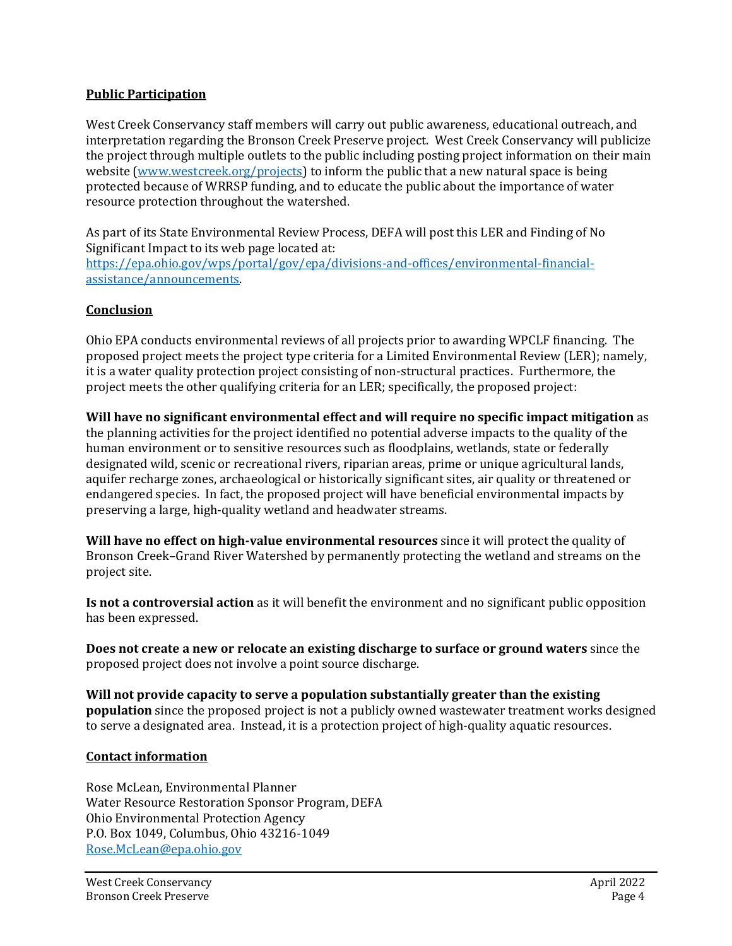### **Public Participation**

West Creek Conservancy staff members will carry out public awareness, educational outreach, and interpretation regarding the Bronson Creek Preserve project. West Creek Conservancy will publicize the project through multiple outlets to the public including posting project information on their main website [\(www.westcreek.org/projects\)](file://s.socisi01.isi.oitfs.ohio.gov/EPAShares/DEFA/DATA/COMMON/DEFA/2WRRSP/Project%20Folders/2022/8734%20Bronson%20Creek/LER%20and%20FONSI/www.westcreek.org/projects) to inform the public that a new natural space is being protected because of WRRSP funding, and to educate the public about the importance of water resource protection throughout the watershed.

As part of its State Environmental Review Process, DEFA will post this LER and Finding of No Significant Impact to its web page located at: [https://epa.ohio.gov/wps/portal/gov/epa/divisions-and-offices/environmental-financial](https://gcc02.safelinks.protection.outlook.com/?url=https%3A%2F%2Fepa.ohio.gov%2Fwps%2Fportal%2Fgov%2Fepa%2Fdivisions-and-offices%2Fenvironmental-financial-assistance%2Fannouncements&data=04%7C01%7CRose.McLean%40epa.ohio.gov%7Cbbba59ee1e9a4fcf81ba08d9b8f56cd5%7C50f8fcc494d84f0784eb36ed57c7c8a2%7C0%7C0%7C637744186490932283%7CUnknown%7CTWFpbGZsb3d8eyJWIjoiMC4wLjAwMDAiLCJQIjoiV2luMzIiLCJBTiI6Ik1haWwiLCJXVCI6Mn0%3D%7C3000&sdata=UtnLskNaZ9X7DcMQsbAwHWZRBFWoXJEcFCxR4sSdcUo%3D&reserved=0)[assistance/announcements.](https://gcc02.safelinks.protection.outlook.com/?url=https%3A%2F%2Fepa.ohio.gov%2Fwps%2Fportal%2Fgov%2Fepa%2Fdivisions-and-offices%2Fenvironmental-financial-assistance%2Fannouncements&data=04%7C01%7CRose.McLean%40epa.ohio.gov%7Cbbba59ee1e9a4fcf81ba08d9b8f56cd5%7C50f8fcc494d84f0784eb36ed57c7c8a2%7C0%7C0%7C637744186490932283%7CUnknown%7CTWFpbGZsb3d8eyJWIjoiMC4wLjAwMDAiLCJQIjoiV2luMzIiLCJBTiI6Ik1haWwiLCJXVCI6Mn0%3D%7C3000&sdata=UtnLskNaZ9X7DcMQsbAwHWZRBFWoXJEcFCxR4sSdcUo%3D&reserved=0)

### **Conclusion**

Ohio EPA conducts environmental reviews of all projects prior to awarding WPCLF financing. The proposed project meets the project type criteria for a Limited Environmental Review (LER); namely, it is a water quality protection project consisting of non-structural practices. Furthermore, the project meets the other qualifying criteria for an LER; specifically, the proposed project:

**Will have no significant environmental effect and will require no specific impact mitigation** as the planning activities for the project identified no potential adverse impacts to the quality of the human environment or to sensitive resources such as floodplains, wetlands, state or federally designated wild, scenic or recreational rivers, riparian areas, prime or unique agricultural lands, aquifer recharge zones, archaeological or historically significant sites, air quality or threatened or endangered species. In fact, the proposed project will have beneficial environmental impacts by preserving a large, high-quality wetland and headwater streams.

**Will have no effect on high-value environmental resources** since it will protect the quality of Bronson Creek–Grand River Watershed by permanently protecting the wetland and streams on the project site.

**Is not a controversial action** as it will benefit the environment and no significant public opposition has been expressed.

**Does not create a new or relocate an existing discharge to surface or ground waters** since the proposed project does not involve a point source discharge.

**Will not provide capacity to serve a population substantially greater than the existing population** since the proposed project is not a publicly owned wastewater treatment works designed to serve a designated area. Instead, it is a protection project of high-quality aquatic resources.

### **Contact information**

Rose McLean, Environmental Planner Water Resource Restoration Sponsor Program, DEFA Ohio Environmental Protection Agency P.O. Box 1049, Columbus, Ohio 43216-1049 [Rose.McLean@epa.ohio.gov](mailto:Rose.McLean@epa.ohio.gov)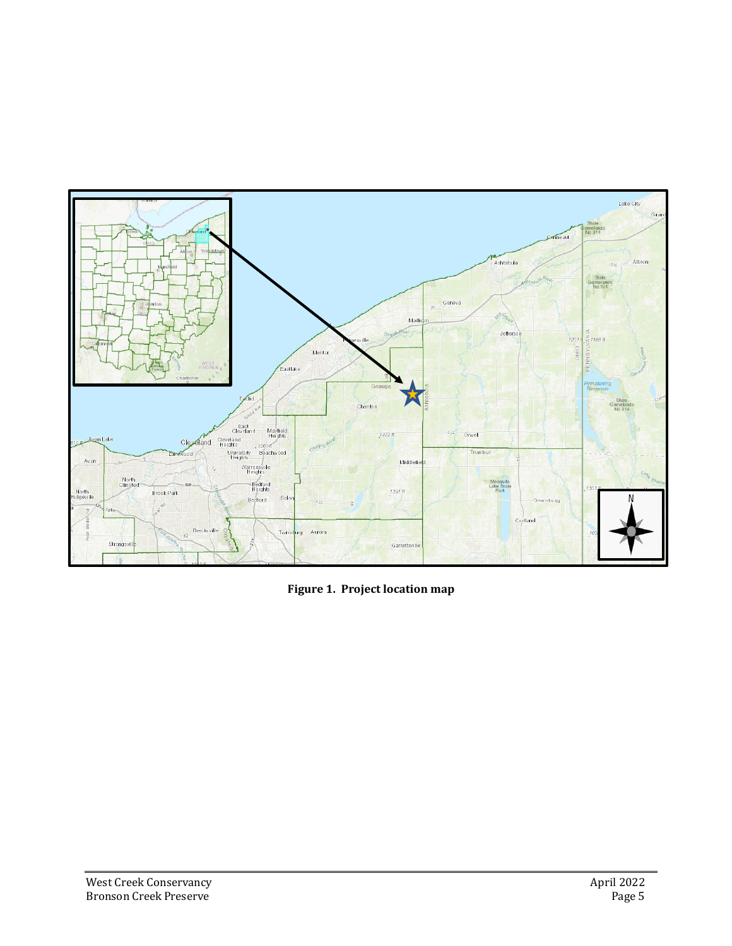

**Figure 1. Project location map**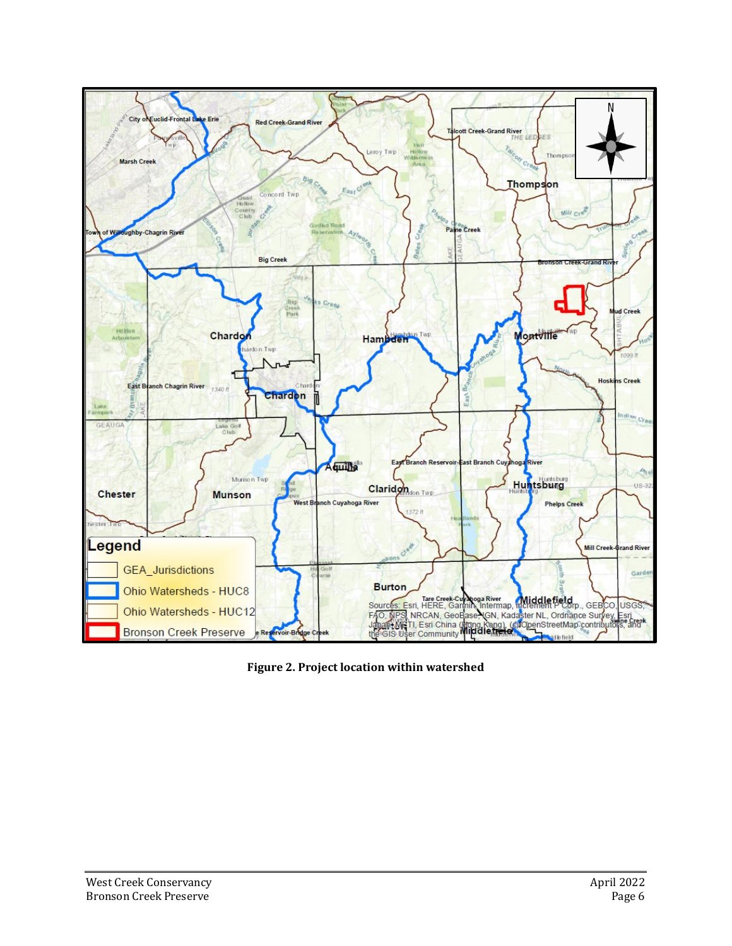

**Figure 2. Project location within watershed**